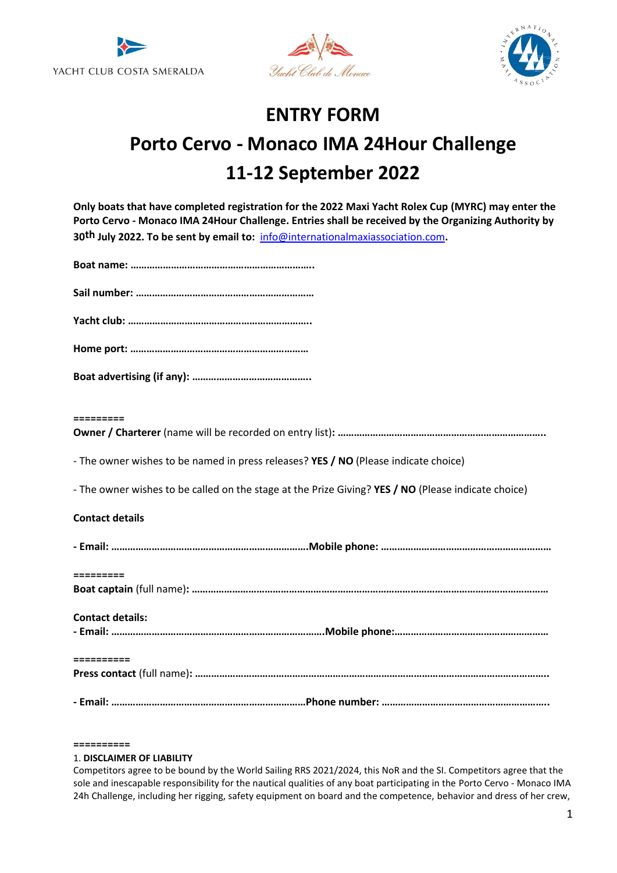





# **ENTRY FORM Porto Cervo - Monaco IMA 24Hour Challenge 11-12 September 2022**

| Only boats that have completed registration for the 2022 Maxi Yacht Rolex Cup (MYRC) may enter the  |
|-----------------------------------------------------------------------------------------------------|
| Porto Cervo - Monaco IMA 24Hour Challenge. Entries shall be received by the Organizing Authority by |
| 30 <sup>th</sup> July 2022. To be sent by email to: info@internationalmaxiassociation.com.          |

| $\begin{array}{c} \texttt{m} = \texttt{m} = \texttt{m} = \texttt{m} = \texttt{m} \end{array}$                                                                                                                                                                                                                                                                                                                                                                                        |
|--------------------------------------------------------------------------------------------------------------------------------------------------------------------------------------------------------------------------------------------------------------------------------------------------------------------------------------------------------------------------------------------------------------------------------------------------------------------------------------|
|                                                                                                                                                                                                                                                                                                                                                                                                                                                                                      |
| - The owner wishes to be named in press releases? YES / NO (Please indicate choice)                                                                                                                                                                                                                                                                                                                                                                                                  |
| - The owner wishes to be called on the stage at the Prize Giving? YES / NO (Please indicate choice)                                                                                                                                                                                                                                                                                                                                                                                  |
| <b>Contact details</b>                                                                                                                                                                                                                                                                                                                                                                                                                                                               |
|                                                                                                                                                                                                                                                                                                                                                                                                                                                                                      |
| $\begin{array}{cccccc} \multicolumn{2}{c}{} & \multicolumn{2}{c}{} & \multicolumn{2}{c}{} & \multicolumn{2}{c}{} & \multicolumn{2}{c}{} & \multicolumn{2}{c}{} & \multicolumn{2}{c}{} & \multicolumn{2}{c}{} & \multicolumn{2}{c}{} & \multicolumn{2}{c}{} & \multicolumn{2}{c}{} & \multicolumn{2}{c}{} & \multicolumn{2}{c}{} & \multicolumn{2}{c}{} & \multicolumn{2}{c}{} & \multicolumn{2}{c}{} & \multicolumn{2}{c}{} & \multicolumn{2}{c}{} & \multicolumn{2}{c}{} & \multic$ |
|                                                                                                                                                                                                                                                                                                                                                                                                                                                                                      |
| <b>Contact details:</b>                                                                                                                                                                                                                                                                                                                                                                                                                                                              |
|                                                                                                                                                                                                                                                                                                                                                                                                                                                                                      |
| $\begin{array}{c} \texttt{m} = \texttt{m} = \texttt{m} = \texttt{m} = \texttt{m} \end{array}$                                                                                                                                                                                                                                                                                                                                                                                        |
|                                                                                                                                                                                                                                                                                                                                                                                                                                                                                      |

**==========**

## 1. **DISCLAIMER OF LIABILITY**

Competitors agree to be bound by the World Sailing RRS 2021/2024, this NoR and the SI. Competitors agree that the sole and inescapable responsibility for the nautical qualities of any boat participating in the Porto Cervo - Monaco IMA 24h Challenge, including her rigging, safety equipment on board and the competence, behavior and dress of her crew,